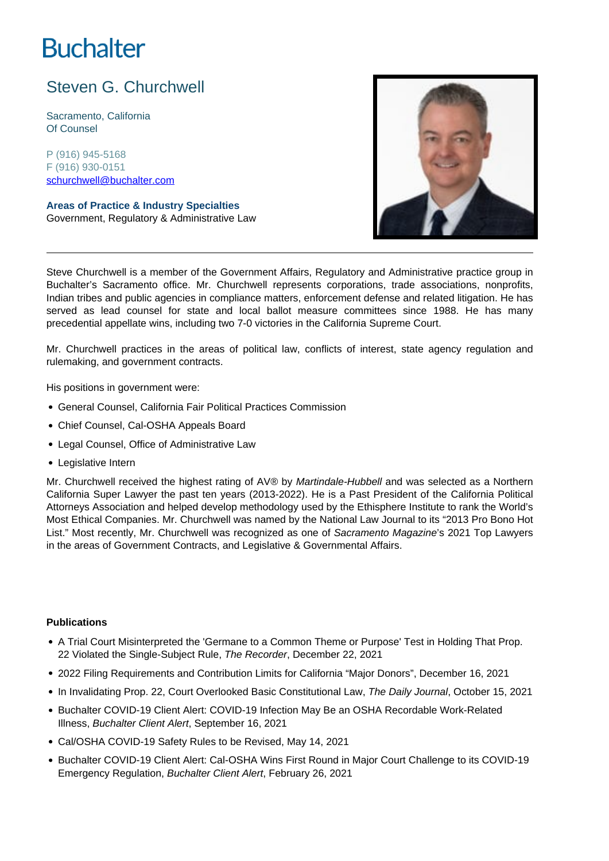# **Buchalter**

# Steven G. Churchwell

Sacramento, California Of Counsel

P (916) 945-5168 F (916) 930-0151 schurchwell@buchalter.com

**Areas of Practice & Industry Specialties** Government, Regulatory & Administrative Law



Steve Churchwell is a member of the Government Affairs, Regulatory and Administrative practice group in Buchalter's Sacramento office. Mr. Churchwell represents corporations, trade associations, nonprofits, Indian tribes and public agencies in compliance matters, enforcement defense and related litigation. He has served as lead counsel for state and local ballot measure committees since 1988. He has many precedential appellate wins, including two 7-0 victories in the California Supreme Court.

Mr. Churchwell practices in the areas of political law, conflicts of interest, state agency regulation and rulemaking, and government contracts.

His positions in government were:

- General Counsel, California Fair Political Practices Commission
- Chief Counsel, Cal-OSHA Appeals Board
- Legal Counsel, Office of Administrative Law
- Legislative Intern

Mr. Churchwell received the highest rating of AV® by Martindale-Hubbell and was selected as a Northern California Super Lawyer the past ten years (2013-2022). He is a Past President of the California Political Attorneys Association and helped develop methodology used by the Ethisphere Institute to rank the World's Most Ethical Companies. Mr. Churchwell was named by the National Law Journal to its "2013 Pro Bono Hot List." Most recently, Mr. Churchwell was recognized as one of Sacramento Magazine's 2021 Top Lawyers in the areas of Government Contracts, and Legislative & Governmental Affairs.

#### **Publications**

- A Trial Court Misinterpreted the 'Germane to a Common Theme or Purpose' Test in Holding That Prop. 22 Violated the Single-Subject Rule, The Recorder, December 22, 2021
- 2022 Filing Requirements and Contribution Limits for California "Major Donors", December 16, 2021
- In Invalidating Prop. 22, Court Overlooked Basic Constitutional Law, The Daily Journal, October 15, 2021
- Buchalter COVID-19 Client Alert: COVID-19 Infection May Be an OSHA Recordable Work-Related Illness, Buchalter Client Alert, September 16, 2021
- Cal/OSHA COVID-19 Safety Rules to be Revised, May 14, 2021
- Buchalter COVID-19 Client Alert: Cal-OSHA Wins First Round in Major Court Challenge to its COVID-19 Emergency Regulation, Buchalter Client Alert, February 26, 2021